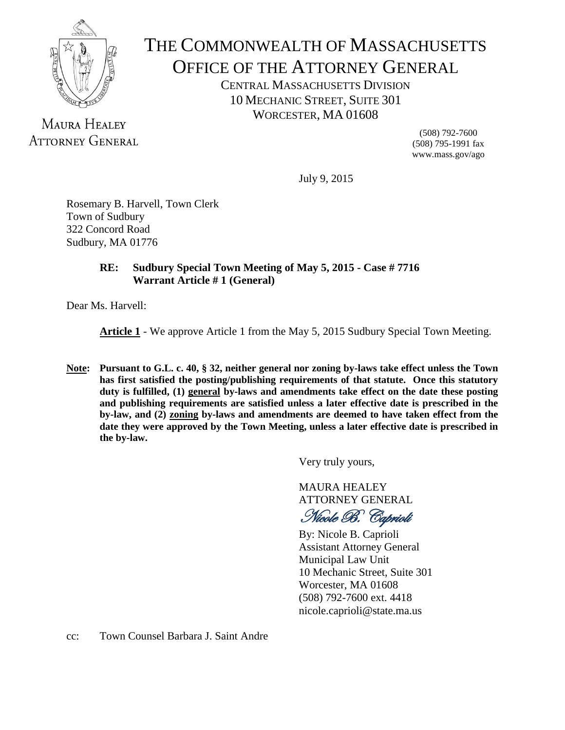

## THE COMMONWEALTH OF MASSACHUSETTS OFFICE OF THE ATTORNEY GENERAL

CENTRAL MASSACHUSETTS DIVISION 10 MECHANIC STREET, SUITE 301 WORCESTER, MA 01608

MAURA HEALEY **ATTORNEY GENERAL** 

(508) 792-7600 (508) 795-1991 fax www.mass.gov/ago

July 9, 2015

Rosemary B. Harvell, Town Clerk Town of Sudbury 322 Concord Road Sudbury, MA 01776

## **RE: Sudbury Special Town Meeting of May 5, 2015 - Case # 7716 Warrant Article # 1 (General)**

Dear Ms. Harvell:

**Article 1** - We approve Article 1 from the May 5, 2015 Sudbury Special Town Meeting.

**Note: Pursuant to G.L. c. 40, § 32, neither general nor zoning by-laws take effect unless the Town has first satisfied the posting/publishing requirements of that statute. Once this statutory duty is fulfilled, (1) general by-laws and amendments take effect on the date these posting and publishing requirements are satisfied unless a later effective date is prescribed in the by-law, and (2) zoning by-laws and amendments are deemed to have taken effect from the date they were approved by the Town Meeting, unless a later effective date is prescribed in the by-law.**

Very truly yours,

MAURA HEALEY ATTORNEY GENERAL

Nicole B. Caprioli

By: Nicole B. Caprioli Assistant Attorney General Municipal Law Unit 10 Mechanic Street, Suite 301 Worcester, MA 01608 (508) 792-7600 ext. 4418 nicole.caprioli@state.ma.us

cc: Town Counsel Barbara J. Saint Andre